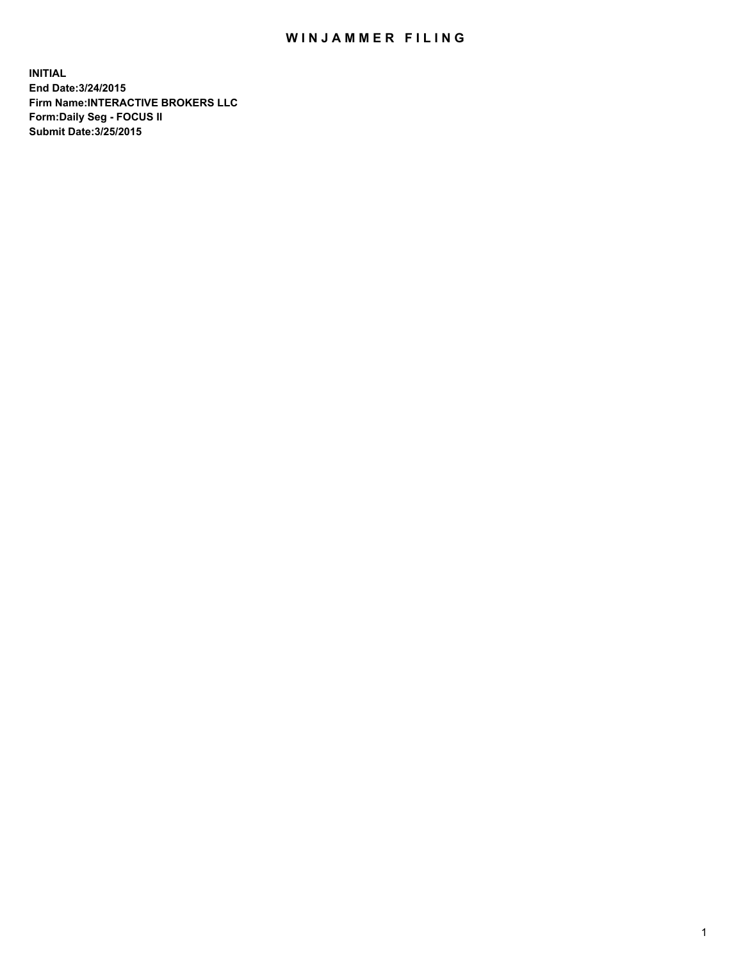## WIN JAMMER FILING

**INITIAL End Date:3/24/2015 Firm Name:INTERACTIVE BROKERS LLC Form:Daily Seg - FOCUS II Submit Date:3/25/2015**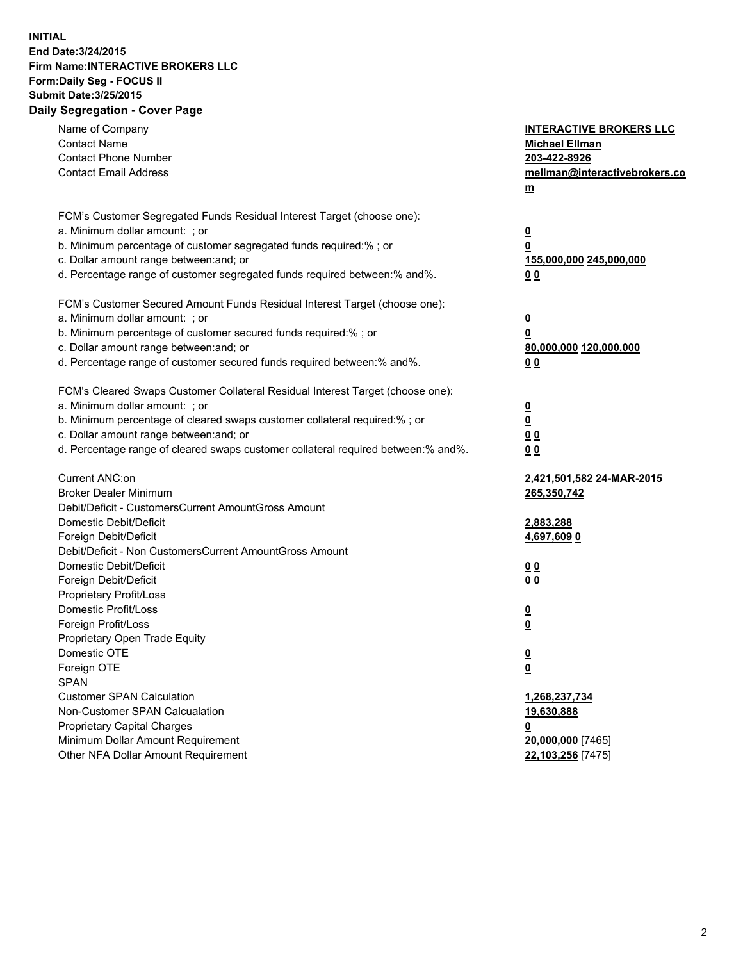## **INITIAL End Date:3/24/2015 Firm Name:INTERACTIVE BROKERS LLC Form:Daily Seg - FOCUS II Submit Date:3/25/2015 Daily Segregation - Cover Page**

| Name of Company<br><b>Contact Name</b><br><b>Contact Phone Number</b><br><b>Contact Email Address</b>    | <b>INTERACTIVE BROKERS LLC</b><br><b>Michael Ellman</b><br>203-422-8926<br>mellman@interactivebrokers.co<br>$m$ |
|----------------------------------------------------------------------------------------------------------|-----------------------------------------------------------------------------------------------------------------|
| FCM's Customer Segregated Funds Residual Interest Target (choose one):<br>a. Minimum dollar amount: ; or | $\overline{\mathbf{0}}$                                                                                         |
| b. Minimum percentage of customer segregated funds required:% ; or                                       | 0                                                                                                               |
| c. Dollar amount range between: and; or                                                                  | 155,000,000 245,000,000                                                                                         |
| d. Percentage range of customer segregated funds required between:% and%.                                | 0 <sub>0</sub>                                                                                                  |
| FCM's Customer Secured Amount Funds Residual Interest Target (choose one):                               |                                                                                                                 |
| a. Minimum dollar amount: ; or                                                                           | $\overline{\mathbf{0}}$                                                                                         |
| b. Minimum percentage of customer secured funds required:% ; or                                          | 0                                                                                                               |
| c. Dollar amount range between: and; or                                                                  | 80,000,000 120,000,000                                                                                          |
| d. Percentage range of customer secured funds required between:% and%.                                   | 0 <sub>0</sub>                                                                                                  |
| FCM's Cleared Swaps Customer Collateral Residual Interest Target (choose one):                           |                                                                                                                 |
| a. Minimum dollar amount: ; or                                                                           | $\overline{\mathbf{0}}$                                                                                         |
| b. Minimum percentage of cleared swaps customer collateral required:% ; or                               | $\overline{\mathbf{0}}$                                                                                         |
| c. Dollar amount range between: and; or                                                                  | 0 <sub>0</sub>                                                                                                  |
| d. Percentage range of cleared swaps customer collateral required between:% and%.                        | 0 <sub>0</sub>                                                                                                  |
| Current ANC:on                                                                                           | 2,421,501,582 24-MAR-2015                                                                                       |
| <b>Broker Dealer Minimum</b>                                                                             | 265,350,742                                                                                                     |
| Debit/Deficit - CustomersCurrent AmountGross Amount                                                      |                                                                                                                 |
| Domestic Debit/Deficit                                                                                   | 2,883,288                                                                                                       |
| Foreign Debit/Deficit                                                                                    | 4,697,6090                                                                                                      |
| Debit/Deficit - Non CustomersCurrent AmountGross Amount                                                  |                                                                                                                 |
| Domestic Debit/Deficit                                                                                   | 0 <sub>0</sub>                                                                                                  |
| Foreign Debit/Deficit<br>Proprietary Profit/Loss                                                         | 0 <sub>0</sub>                                                                                                  |
| Domestic Profit/Loss                                                                                     |                                                                                                                 |
| Foreign Profit/Loss                                                                                      | $\overline{\mathbf{0}}$<br>$\underline{\mathbf{0}}$                                                             |
| Proprietary Open Trade Equity                                                                            |                                                                                                                 |
| Domestic OTE                                                                                             | <u>0</u>                                                                                                        |
| Foreign OTE                                                                                              | <u>0</u>                                                                                                        |
| <b>SPAN</b>                                                                                              |                                                                                                                 |
| <b>Customer SPAN Calculation</b>                                                                         | 1,268,237,734                                                                                                   |
| Non-Customer SPAN Calcualation                                                                           | 19,630,888                                                                                                      |
| Proprietary Capital Charges                                                                              | <u>0</u>                                                                                                        |
| Minimum Dollar Amount Requirement                                                                        | 20,000,000 [7465]                                                                                               |
| Other NFA Dollar Amount Requirement                                                                      | 22,103,256 [7475]                                                                                               |
|                                                                                                          |                                                                                                                 |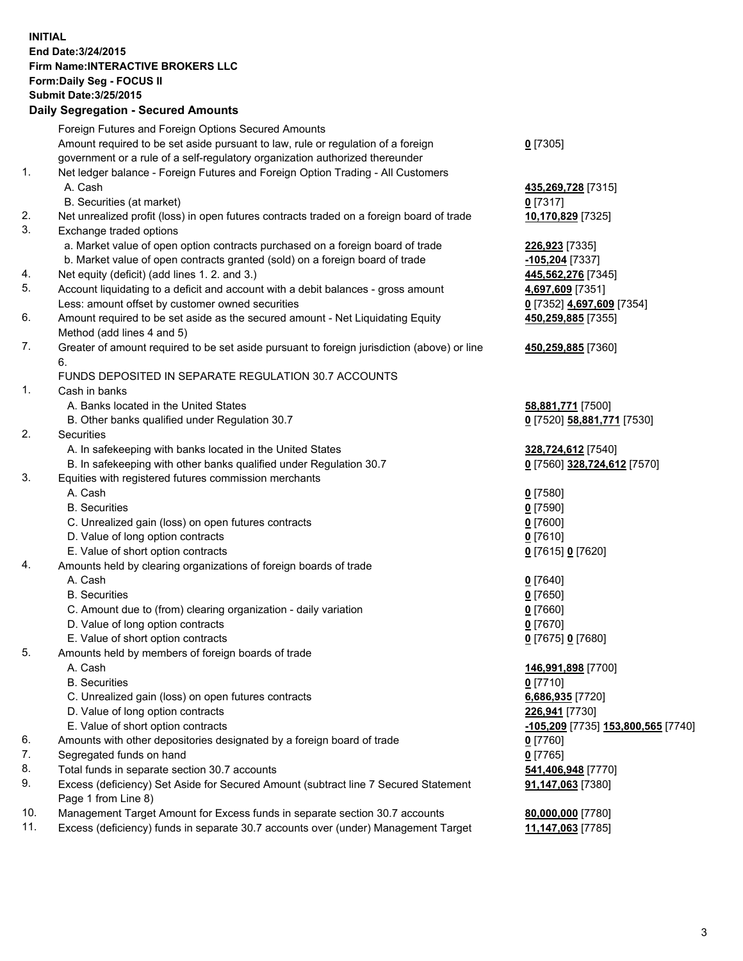## **INITIAL End Date:3/24/2015 Firm Name:INTERACTIVE BROKERS LLC Form:Daily Seg - FOCUS II Submit Date:3/25/2015 Daily Segregation - Secured Amounts**

|          | $-$ 0.000 $-$ 0.000 $-$ 0.000 $-$ 0.000 $-$ 0.000 $-$ 0.000 $-$ 0.000 $-$ 0.000 $-$ 0.000 $-$ 0.000 $-$ 0.000 $-$ 0.000 $-$ 0.000 $-$ 0.000 $-$ 0.000 $-$ 0.000 $-$ 0.000 $-$ 0.000 $-$ 0.000 $-$ 0.000 $-$ 0.000 $-$ 0.000 |                                    |
|----------|-----------------------------------------------------------------------------------------------------------------------------------------------------------------------------------------------------------------------------|------------------------------------|
|          | Foreign Futures and Foreign Options Secured Amounts                                                                                                                                                                         |                                    |
|          | Amount required to be set aside pursuant to law, rule or regulation of a foreign                                                                                                                                            | $0$ [7305]                         |
|          | government or a rule of a self-regulatory organization authorized thereunder                                                                                                                                                |                                    |
| 1.       | Net ledger balance - Foreign Futures and Foreign Option Trading - All Customers                                                                                                                                             |                                    |
|          | A. Cash                                                                                                                                                                                                                     | 435,269,728 [7315]                 |
|          | B. Securities (at market)                                                                                                                                                                                                   | $0$ [7317]                         |
| 2.       | Net unrealized profit (loss) in open futures contracts traded on a foreign board of trade                                                                                                                                   | 10,170,829 [7325]                  |
| 3.       | Exchange traded options                                                                                                                                                                                                     |                                    |
|          | a. Market value of open option contracts purchased on a foreign board of trade                                                                                                                                              | 226,923 [7335]                     |
|          | b. Market value of open contracts granted (sold) on a foreign board of trade                                                                                                                                                | 105,204 [7337]                     |
| 4.       | Net equity (deficit) (add lines 1.2. and 3.)                                                                                                                                                                                | 445,562,276 [7345]                 |
| 5.       | Account liquidating to a deficit and account with a debit balances - gross amount                                                                                                                                           | 4,697,609 [7351]                   |
|          | Less: amount offset by customer owned securities                                                                                                                                                                            | 0 [7352] 4,697,609 [7354]          |
| 6.       | Amount required to be set aside as the secured amount - Net Liquidating Equity                                                                                                                                              | 450,259,885 [7355]                 |
|          | Method (add lines 4 and 5)                                                                                                                                                                                                  |                                    |
| 7.       | Greater of amount required to be set aside pursuant to foreign jurisdiction (above) or line                                                                                                                                 | 450,259,885 [7360]                 |
|          | 6.                                                                                                                                                                                                                          |                                    |
|          | FUNDS DEPOSITED IN SEPARATE REGULATION 30.7 ACCOUNTS                                                                                                                                                                        |                                    |
| 1.       | Cash in banks                                                                                                                                                                                                               |                                    |
|          | A. Banks located in the United States                                                                                                                                                                                       | 58,881,771 [7500]                  |
|          | B. Other banks qualified under Regulation 30.7                                                                                                                                                                              | 0 [7520] 58,881,771 [7530]         |
| 2.       | Securities                                                                                                                                                                                                                  |                                    |
|          | A. In safekeeping with banks located in the United States                                                                                                                                                                   | 328,724,612 [7540]                 |
|          | B. In safekeeping with other banks qualified under Regulation 30.7                                                                                                                                                          | 0 [7560] 328,724,612 [7570]        |
| 3.       | Equities with registered futures commission merchants                                                                                                                                                                       |                                    |
|          | A. Cash                                                                                                                                                                                                                     | $0$ [7580]                         |
|          | <b>B.</b> Securities                                                                                                                                                                                                        | <u>0</u> [7590]                    |
|          | C. Unrealized gain (loss) on open futures contracts                                                                                                                                                                         | $0$ [7600]                         |
|          | D. Value of long option contracts                                                                                                                                                                                           | $0$ [7610]                         |
|          | E. Value of short option contracts                                                                                                                                                                                          | 0 [7615] 0 [7620]                  |
| 4.       | Amounts held by clearing organizations of foreign boards of trade                                                                                                                                                           |                                    |
|          | A. Cash                                                                                                                                                                                                                     | $0$ [7640]                         |
|          | <b>B.</b> Securities                                                                                                                                                                                                        | <u>0</u> [7650]                    |
|          | C. Amount due to (from) clearing organization - daily variation                                                                                                                                                             | $0$ [7660]                         |
|          | D. Value of long option contracts                                                                                                                                                                                           | $0$ [7670]                         |
|          | E. Value of short option contracts                                                                                                                                                                                          | 0 [7675] 0 [7680]                  |
| 5.       | Amounts held by members of foreign boards of trade                                                                                                                                                                          |                                    |
|          | A. Cash                                                                                                                                                                                                                     | 146,991,898 [7700]                 |
|          | <b>B.</b> Securities                                                                                                                                                                                                        | $0$ [7710]                         |
|          | C. Unrealized gain (loss) on open futures contracts                                                                                                                                                                         | 6,686,935 [7720]                   |
|          | D. Value of long option contracts                                                                                                                                                                                           | 226,941 [7730]                     |
|          | E. Value of short option contracts                                                                                                                                                                                          | -105,209 [7735] 153,800,565 [7740] |
| 6.       | Amounts with other depositories designated by a foreign board of trade                                                                                                                                                      | 0 [7760]                           |
| 7.<br>8. | Segregated funds on hand                                                                                                                                                                                                    | $0$ [7765]                         |
| 9.       | Total funds in separate section 30.7 accounts                                                                                                                                                                               | 541,406,948 [7770]                 |
|          | Excess (deficiency) Set Aside for Secured Amount (subtract line 7 Secured Statement<br>Page 1 from Line 8)                                                                                                                  | 91,147,063 [7380]                  |
| 10.      | Management Target Amount for Excess funds in separate section 30.7 accounts                                                                                                                                                 | 80,000,000 [7780]                  |
| 11.      | Excess (deficiency) funds in separate 30.7 accounts over (under) Management Target                                                                                                                                          | 11,147,063 [7785]                  |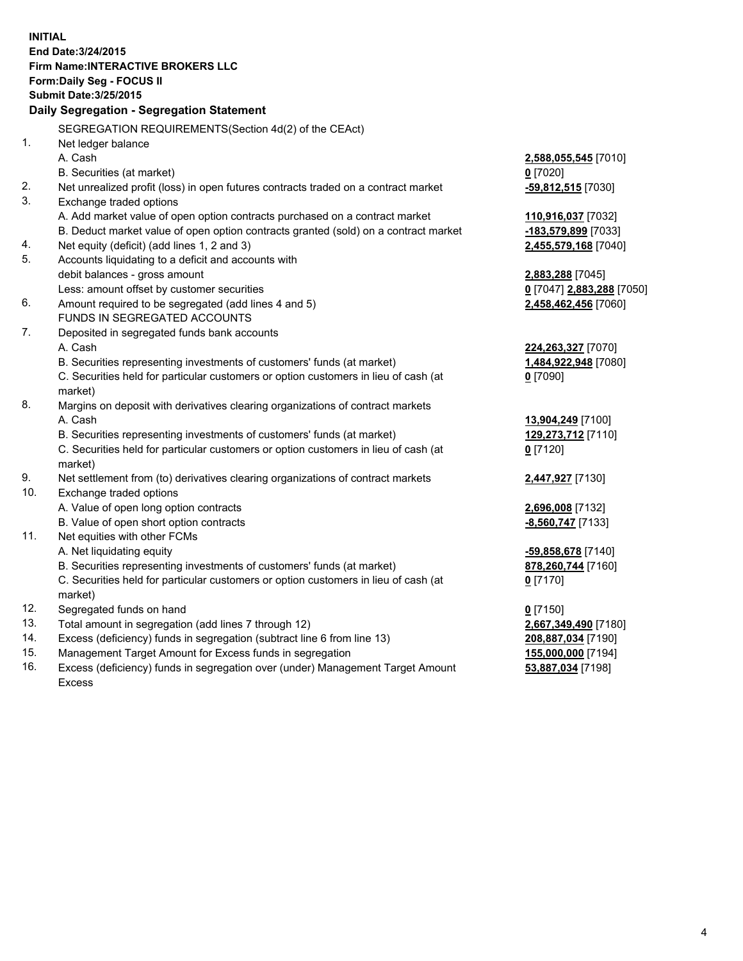**INITIAL End Date:3/24/2015 Firm Name:INTERACTIVE BROKERS LLC Form:Daily Seg - FOCUS II Submit Date:3/25/2015 Daily Segregation - Segregation Statement** SEGREGATION REQUIREMENTS(Section 4d(2) of the CEAct) 1. Net ledger balance A. Cash **2,588,055,545** [7010] B. Securities (at market) **0** [7020] 2. Net unrealized profit (loss) in open futures contracts traded on a contract market **-59,812,515** [7030] 3. Exchange traded options A. Add market value of open option contracts purchased on a contract market **110,916,037** [7032] B. Deduct market value of open option contracts granted (sold) on a contract market **-183,579,899** [7033] 4. Net equity (deficit) (add lines 1, 2 and 3) **2,455,579,168** [7040] 5. Accounts liquidating to a deficit and accounts with debit balances - gross amount **2,883,288** [7045] Less: amount offset by customer securities **0** [7047] **2,883,288** [7050] 6. Amount required to be segregated (add lines 4 and 5) **2,458,462,456** [7060] FUNDS IN SEGREGATED ACCOUNTS 7. Deposited in segregated funds bank accounts A. Cash **224,263,327** [7070] B. Securities representing investments of customers' funds (at market) **1,484,922,948** [7080] C. Securities held for particular customers or option customers in lieu of cash (at market) **0** [7090] 8. Margins on deposit with derivatives clearing organizations of contract markets A. Cash **13,904,249** [7100] B. Securities representing investments of customers' funds (at market) **129,273,712** [7110] C. Securities held for particular customers or option customers in lieu of cash (at market) **0** [7120] 9. Net settlement from (to) derivatives clearing organizations of contract markets **2,447,927** [7130] 10. Exchange traded options A. Value of open long option contracts **2,696,008** [7132] B. Value of open short option contracts **-8,560,747** [7133] 11. Net equities with other FCMs A. Net liquidating equity **-59,858,678** [7140] B. Securities representing investments of customers' funds (at market) **878,260,744** [7160] C. Securities held for particular customers or option customers in lieu of cash (at market) **0** [7170] 12. Segregated funds on hand **0** [7150] 13. Total amount in segregation (add lines 7 through 12) **2,667,349,490** [7180] 14. Excess (deficiency) funds in segregation (subtract line 6 from line 13) **208,887,034** [7190] 15. Management Target Amount for Excess funds in segregation **155,000,000** [7194]

16. Excess (deficiency) funds in segregation over (under) Management Target Amount Excess

**53,887,034** [7198]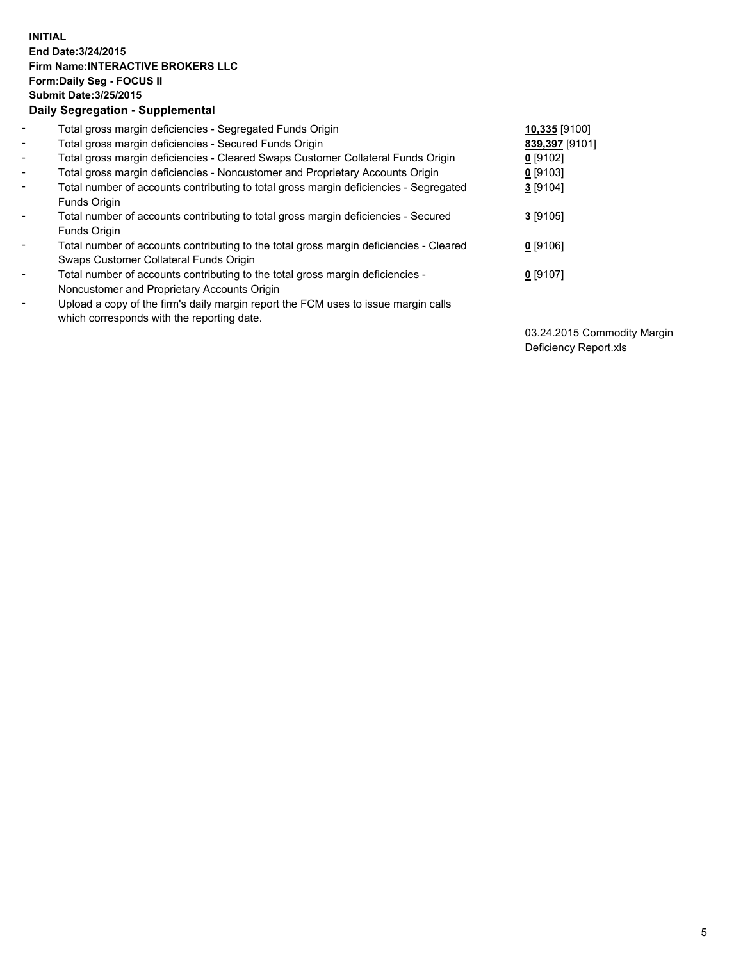## **INITIAL End Date:3/24/2015 Firm Name:INTERACTIVE BROKERS LLC Form:Daily Seg - FOCUS II Submit Date:3/25/2015 Daily Segregation - Supplemental**

| $\blacksquare$           | Total gross margin deficiencies - Segregated Funds Origin                              | 10,335 [9100]  |
|--------------------------|----------------------------------------------------------------------------------------|----------------|
| $\blacksquare$           | Total gross margin deficiencies - Secured Funds Origin                                 | 839,397 [9101] |
| $\blacksquare$           | Total gross margin deficiencies - Cleared Swaps Customer Collateral Funds Origin       | $0$ [9102]     |
| $\blacksquare$           | Total gross margin deficiencies - Noncustomer and Proprietary Accounts Origin          | $0$ [9103]     |
| $\blacksquare$           | Total number of accounts contributing to total gross margin deficiencies - Segregated  | 3 [9104]       |
|                          | Funds Origin                                                                           |                |
| $\blacksquare$           | Total number of accounts contributing to total gross margin deficiencies - Secured     | $3$ [9105]     |
|                          | Funds Origin                                                                           |                |
| $\overline{\phantom{a}}$ | Total number of accounts contributing to the total gross margin deficiencies - Cleared | $0$ [9106]     |
|                          | Swaps Customer Collateral Funds Origin                                                 |                |
| -                        | Total number of accounts contributing to the total gross margin deficiencies -         | $0$ [9107]     |
|                          | Noncustomer and Proprietary Accounts Origin                                            |                |
| $\blacksquare$           | Upload a copy of the firm's daily margin report the FCM uses to issue margin calls     |                |
|                          | which corresponds with the reporting date.                                             |                |

03.24.2015 Commodity Margin Deficiency Report.xls